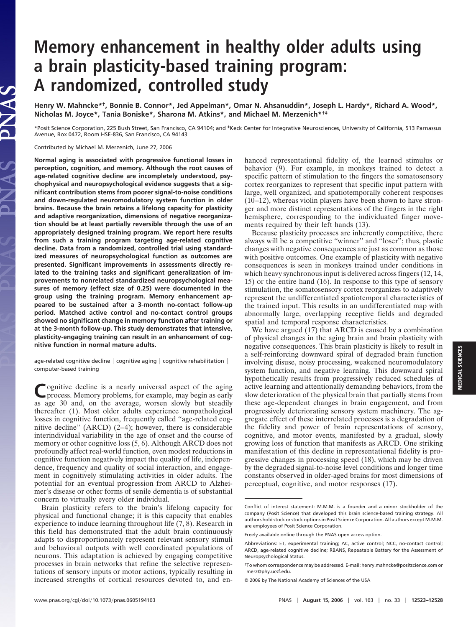# **Memory enhancement in healthy older adults using a brain plasticity-based training program: A randomized, controlled study**

**Henry W. Mahncke\*†, Bonnie B. Connor\*, Jed Appelman\*, Omar N. Ahsanuddin\*, Joseph L. Hardy\*, Richard A. Wood\*, Nicholas M. Joyce\*, Tania Boniske\*, Sharona M. Atkins\*, and Michael M. Merzenich\*†‡**

\*Posit Science Corporation, 225 Bush Street, San Francisco, CA 94104; and ‡Keck Center for Integrative Neurosciences, University of California, 513 Parnassus Avenue, Box 0472, Room HSE-836, San Francisco, CA 94143

Contributed by Michael M. Merzenich, June 27, 2006

**NAS** 

**Normal aging is associated with progressive functional losses in perception, cognition, and memory. Although the root causes of age-related cognitive decline are incompletely understood, psychophysical and neuropsychological evidence suggests that a significant contribution stems from poorer signal-to-noise conditions and down-regulated neuromodulatory system function in older brains. Because the brain retains a lifelong capacity for plasticity and adaptive reorganization, dimensions of negative reorganization should be at least partially reversible through the use of an appropriately designed training program. We report here results from such a training program targeting age-related cognitive decline. Data from a randomized, controlled trial using standardized measures of neuropsychological function as outcomes are presented. Significant improvements in assessments directly related to the training tasks and significant generalization of improvements to nonrelated standardized neuropsychological measures of memory (effect size of 0.25) were documented in the group using the training program. Memory enhancement appeared to be sustained after a 3-month no-contact follow-up period. Matched active control and no-contact control groups showed no significant change in memory function after training or at the 3-month follow-up. This study demonstrates that intensive, plasticity-engaging training can result in an enhancement of cognitive function in normal mature adults.**

age-related cognitive decline  $|$  cognitive aging  $|$  cognitive rehabilitation  $|$ computer-based training

Cognitive decline is a nearly universal aspect of the aging<br>process. Memory problems, for example, may begin as early as age 30 and, on the average, worsen slowly but steadily thereafter (1). Most older adults experience nonpathological losses in cognitive function, frequently called ''age-related cognitive decline'' (ARCD) (2–4); however, there is considerable interindividual variability in the age of onset and the course of memory or other cognitive loss (5, 6). Although ARCD does not profoundly affect real-world function, even modest reductions in cognitive function negatively impact the quality of life, independence, frequency and quality of social interaction, and engagement in cognitively stimulating activities in older adults. The potential for an eventual progression from ARCD to Alzheimer's disease or other forms of senile dementia is of substantial concern to virtually every older individual.

Brain plasticity refers to the brain's lifelong capacity for physical and functional change; it is this capacity that enables experience to induce learning throughout life (7, 8). Research in this field has demonstrated that the adult brain continuously adapts to disproportionately represent relevant sensory stimuli and behavioral outputs with well coordinated populations of neurons. This adaptation is achieved by engaging competitive processes in brain networks that refine the selective representations of sensory inputs or motor actions, typically resulting in increased strengths of cortical resources devoted to, and enhanced representational fidelity of, the learned stimulus or behavior (9). For example, in monkeys trained to detect a specific pattern of stimulation to the fingers the somatosensory cortex reorganizes to represent that specific input pattern with large, well organized, and spatiotemporally coherent responses (10–12), whereas violin players have been shown to have stronger and more distinct representations of the fingers in the right hemisphere, corresponding to the individuated finger movements required by their left hands (13).

Because plasticity processes are inherently competitive, there always will be a competitive "winner" and "loser"; thus, plastic changes with negative consequences are just as common as those with positive outcomes. One example of plasticity with negative consequences is seen in monkeys trained under conditions in which heavy synchronous input is delivered across fingers (12, 14, 15) or the entire hand (16). In response to this type of sensory stimulation, the somatosensory cortex reorganizes to adaptively represent the undifferentiated spatiotemporal characteristics of the trained input. This results in an undifferentiated map with abnormally large, overlapping receptive fields and degraded spatial and temporal response characteristics.

We have argued (17) that ARCD is caused by a combination of physical changes in the aging brain and brain plasticity with negative consequences. This brain plasticity is likely to result in a self-reinforcing downward spiral of degraded brain function involving disuse, noisy processing, weakened neuromodulatory system function, and negative learning. This downward spiral hypothetically results from progressively reduced schedules of active learning and attentionally demanding behaviors, from the slow deterioration of the physical brain that partially stems from these age-dependent changes in brain engagement, and from progressively deteriorating sensory system machinery. The aggregate effect of these interrelated processes is a degradation of the fidelity and power of brain representations of sensory, cognitive, and motor events, manifested by a gradual, slowly growing loss of function that manifests as ARCD. One striking manifestation of this decline in representational fidelity is progressive changes in processing speed (18), which may be driven by the degraded signal-to-noise level conditions and longer time constants observed in older-aged brains for most dimensions of perceptual, cognitive, and motor responses (17).

Conflict of interest statement: M.M.M. is a founder and a minor stockholder of the company (Posit Science) that developed this brain science-based training strategy. All authors hold stock or stock options in Posit Science Corporation. All authors except M.M.M. are employees of Posit Science Corporation.

Freely available online through the PNAS open access option.

Abbreviations: ET, experimental training; AC, active control; NCC, no-contact control; ARCD, age-related cognitive decline; RBANS, Repeatable Battery for the Assessment of Neuropsychological Status.

<sup>†</sup>To whom correspondence may be addressed. E-mail: henry.mahncke@positscience.com or merz@phy.ucsf.edu.

<sup>© 2006</sup> by The National Academy of Sciences of the USA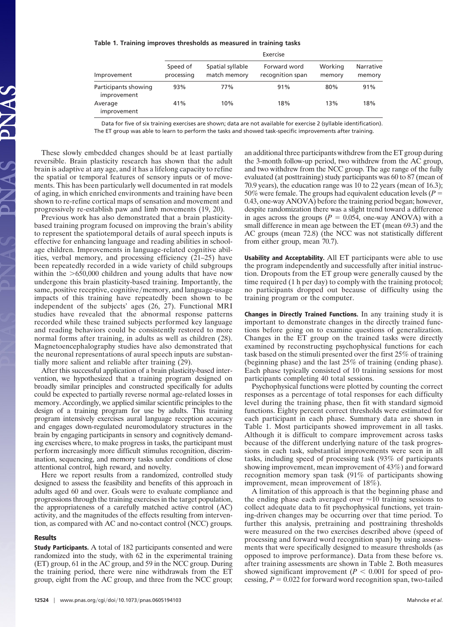#### **Table 1. Training improves thresholds as measured in training tasks**

|                                     | Exercise               |                                  |                                  |                   |                            |
|-------------------------------------|------------------------|----------------------------------|----------------------------------|-------------------|----------------------------|
| Improvement                         | Speed of<br>processing | Spatial syllable<br>match memory | Forward word<br>recognition span | Working<br>memory | <b>Narrative</b><br>memory |
| Participants showing<br>improvement | 93%                    | 77%                              | 91%                              | 80%               | 91%                        |
| Average<br>improvement              | 41%                    | 10%                              | 18%                              | 13%               | 18%                        |

Data for five of six training exercises are shown; data are not available for exercise 2 (syllable identification). The ET group was able to learn to perform the tasks and showed task-specific improvements after training.

These slowly embedded changes should be at least partially reversible. Brain plasticity research has shown that the adult brain is adaptive at any age, and it has a lifelong capacity to refine the spatial or temporal features of sensory inputs or of movements. This has been particularly well documented in rat models of aging, in which enriched environments and training have been shown to re-refine cortical maps of sensation and movement and progressively re-establish paw and limb movements (19, 20).

Previous work has also demonstrated that a brain plasticitybased training program focused on improving the brain's ability to represent the spatiotemporal details of aural speech inputs is effective for enhancing language and reading abilities in schoolage children. Improvements in language-related cognitive abilities, verbal memory, and processing efficiency (21–25) have been repeatedly recorded in a wide variety of child subgroups within the  $>650,000$  children and young adults that have now undergone this brain plasticity-based training. Importantly, the same, positive receptive, cognitive/memory, and language-usage impacts of this training have repeatedly been shown to be independent of the subjects' ages (26, 27). Functional MRI studies have revealed that the abnormal response patterns recorded while these trained subjects performed key language and reading behaviors could be consistently restored to more normal forms after training, in adults as well as children (28). Magnetoencephalography studies have also demonstrated that the neuronal representations of aural speech inputs are substantially more salient and reliable after training (29).

After this successful application of a brain plasticity-based intervention, we hypothesized that a training program designed on broadly similar principles and constructed specifically for adults could be expected to partially reverse normal age-related losses in memory. Accordingly, we applied similar scientific principles to the design of a training program for use by adults. This training program intensively exercises aural language reception accuracy and engages down-regulated neuromodulatory structures in the brain by engaging participants in sensory and cognitively demanding exercises where, to make progress in tasks, the participant must perform increasingly more difficult stimulus recognition, discrimination, sequencing, and memory tasks under conditions of close attentional control, high reward, and novelty.

Here we report results from a randomized, controlled study designed to assess the feasibility and benefits of this approach in adults aged 60 and over. Goals were to evaluate compliance and progressions through the training exercises in the target population, the appropriateness of a carefully matched active control (AC) activity, and the magnitudes of the effects resulting from intervention, as compared with AC and no-contact control (NCC) groups.

#### **Results**

**Study Participants.** A total of 182 participants consented and were randomized into the study, with 62 in the experimental training (ET) group, 61 in the AC group, and 59 in the NCC group. During the training period, there were nine withdrawals from the ET group, eight from the AC group, and three from the NCC group;

12524 | www.pnas.org/cgi/doi/10.1073/pnas.0605194103 Mahncke *et al.* 

an additional three participants withdrew from the ET group during the 3-month follow-up period, two withdrew from the AC group, and two withdrew from the NCC group. The age range of the fully evaluated (at posttraining) study participants was 60 to 87 (mean of 70.9 years), the education range was 10 to 22 years (mean of 16.3); 50% were female. The groups had equivalent education levels ( $P =$ 0.43, one-way ANOVA) before the training period began; however, despite randomization there was a slight trend toward a difference in ages across the groups  $(P = 0.054, \text{ one-way ANOVA})$  with a small difference in mean age between the ET (mean 69.3) and the AC groups (mean 72.8) (the NCC was not statistically different from either group, mean 70.7).

**Usability and Acceptability.** All ET participants were able to use the program independently and successfully after initial instruction. Dropouts from the ET group were generally caused by the time required (1 h per day) to comply with the training protocol; no participants dropped out because of difficulty using the training program or the computer.

**Changes in Directly Trained Functions.** In any training study it is important to demonstrate changes in the directly trained functions before going on to examine questions of generalization. Changes in the ET group on the trained tasks were directly examined by reconstructing psychophysical functions for each task based on the stimuli presented over the first 25% of training (beginning phase) and the last 25% of training (ending phase). Each phase typically consisted of 10 training sessions for most participants completing 40 total sessions.

Psychophysical functions were plotted by counting the correct responses as a percentage of total responses for each difficulty level during the training phase, then fit with standard sigmoid functions. Eighty percent correct thresholds were estimated for each participant in each phase. Summary data are shown in Table 1. Most participants showed improvement in all tasks. Although it is difficult to compare improvement across tasks because of the different underlying nature of the task progressions in each task, substantial improvements were seen in all tasks, including speed of processing task (93% of participants showing improvement, mean improvement of 43%) and forward recognition memory span task (91% of participants showing improvement, mean improvement of 18%).

A limitation of this approach is that the beginning phase and the ending phase each averaged over  $\approx 10$  training sessions to collect adequate data to fit psychophysical functions, yet training-driven changes may be occurring over that time period. To further this analysis, pretraining and posttraining thresholds were measured on the two exercises described above (speed of processing and forward word recognition span) by using assessments that were specifically designed to measure thresholds (as opposed to improve performance). Data from these before vs. after training assessments are shown in Table 2. Both measures showed significant improvement ( $P < 0.001$  for speed of processing,  $P = 0.022$  for forward word recognition span, two-tailed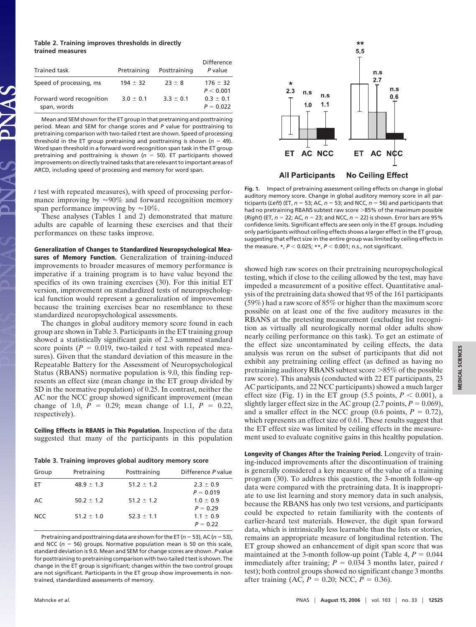## **Table 2. Training improves thresholds in directly trained measures**

| <b>Trained task</b>                     | Pretraining   | Posttraining  | Difference<br>P value        |
|-----------------------------------------|---------------|---------------|------------------------------|
| Speed of processing, ms                 | $194 + 32$    | $23 + 8$      | $176 \pm 32$<br>P < 0.001    |
| Forward word recognition<br>span, words | $3.0 \pm 0.1$ | $3.3 \pm 0.1$ | $0.3 \pm 0.1$<br>$P = 0.022$ |

Mean and SEM shown for the ET group in that pretraining and posttraining period. Mean and SEM for change scores and *P* value for posttraining to pretraining comparison with two-tailed *t* test are shown. Speed of processing threshold in the ET group pretraining and posttraining is shown  $(n = 49)$ . Word span threshold in a forward word recognition span task in the ET group pretraining and posttraining is shown ( $n = 50$ ). ET participants showed improvements on directly trained tasks that are relevant to important areas of ARCD, including speed of processing and memory for word span.

*t* test with repeated measures), with speed of processing performance improving by  $\approx 90\%$  and forward recognition memory span performance improving by  $\approx 10\%$ .

These analyses (Tables 1 and 2) demonstrated that mature adults are capable of learning these exercises and that their performances on these tasks improve.

**Generalization of Changes to Standardized Neuropsychological Measures of Memory Function.** Generalization of training-induced improvements to broader measures of memory performance is imperative if a training program is to have value beyond the specifics of its own training exercises (30). For this initial ET version, improvement on standardized tests of neuropsychological function would represent a generalization of improvement because the training exercises bear no resemblance to these standardized neuropsychological assessments.

The changes in global auditory memory score found in each group are shown in Table 3. Participants in the ET training group showed a statistically significant gain of 2.3 summed standard score points ( $P = 0.019$ , two-tailed *t* test with repeated measures). Given that the standard deviation of this measure in the Repeatable Battery for the Assessment of Neuropsychological Status (RBANS) normative population is 9.0, this finding represents an effect size (mean change in the ET group divided by SD in the normative population) of 0.25. In contrast, neither the AC nor the NCC group showed significant improvement (mean change of 1.0,  $P = 0.29$ ; mean change of 1.1,  $P = 0.22$ , respectively).

**Ceiling Effects in RBANS in This Population.** Inspection of the data suggested that many of the participants in this population

| Table 3. Training improves global auditory memory score |  |
|---------------------------------------------------------|--|
|---------------------------------------------------------|--|

| Group      | Pretraining    | Posttraining   | Difference P value |
|------------|----------------|----------------|--------------------|
| EТ         | $48.9 \pm 1.3$ | $51.2 \pm 1.2$ | $2.3 \pm 0.9$      |
|            |                |                | $P = 0.019$        |
| AC.        | $50.2 \pm 1.2$ | $51.2 \pm 1.2$ | $1.0 \pm 0.9$      |
|            |                |                | $P = 0.29$         |
| <b>NCC</b> | $51.2 \pm 1.0$ | $52.3 \pm 1.1$ | $1.1 \pm 0.9$      |
|            |                |                | $P = 0.22$         |

Pretraining and posttraining data are shown for the ET ( $n = 53$ ), AC ( $n = 53$ ), and NCC ( $n = 56$ ) groups. Normative population mean is 50 on this scale, standard deviation is 9.0. Mean and SEM for change scores are shown. *P* value for posttraining to pretraining comparison with two-tailed *t*test is shown. The change in the ET group is significant; changes within the two control groups are not significant. Participants in the ET group show improvements in nontrained, standardized assessments of memory.



**Fig. 1.** Impact of pretraining assessment ceiling effects on change in global auditory memory score. Change in global auditory memory score in all participants (Left) (ET,  $n = 53$ ; AC,  $n = 53$ ; and NCC,  $n = 56$ ) and participants that had no pretraining RBANS subtest raw score >85% of the maximum possible  $(Right)$  (ET,  $n = 22$ ; AC,  $n = 23$ ; and NCC,  $n = 22$ ) is shown. Error bars are 95% confidence limits. Significant effects are seen only in the ET groups. Including only participants without ceiling effects shows a larger effect in the ET group, suggesting that effect size in the entire group was limited by ceiling effects in the measure.  $*$ ,  $P < 0.025$ ;  $**$ ,  $P < 0.001$ ; n.s., not significant.

showed high raw scores on their pretraining neuropsychological testing, which if close to the ceiling allowed by the test, may have impeded a measurement of a positive effect. Quantitative analysis of the pretraining data showed that 95 of the 161 participants (59%) had a raw score of 85% or higher than the maximum score possible on at least one of the five auditory measures in the RBANS at the pretesting measurement (excluding list recognition as virtually all neurologically normal older adults show nearly ceiling performance on this task). To get an estimate of the effect size uncontaminated by ceiling effects, the data analysis was rerun on the subset of participants that did not exhibit any pretraining ceiling effect (as defined as having no pretraining auditory RBANS subtest score  $>85\%$  of the possible raw score). This analysis (conducted with 22 ET participants, 23 AC participants, and 22 NCC participants) showed a much larger effect size (Fig. 1) in the ET group (5.5 points,  $P < 0.001$ ), a slightly larger effect size in the AC group  $(2.7 \text{ points}, P = 0.069)$ , and a smaller effect in the NCC group  $(0.6 \text{ points}, P = 0.72)$ , which represents an effect size of 0.61. These results suggest that the ET effect size was limited by ceiling effects in the measurement used to evaluate cognitive gains in this healthy population.

**Longevity of Changes After the Training Period.** Longevity of training-induced improvements after the discontinuation of training is generally considered a key measure of the value of a training program (30). To address this question, the 3-month follow-up data were compared with the pretraining data. It is inappropriate to use list learning and story memory data in such analysis, because the RBANS has only two test versions, and participants could be expected to retain familiarity with the contents of earlier-heard test materials. However, the digit span forward data, which is intrinsically less learnable than the lists or stories, remains an appropriate measure of longitudinal retention. The ET group showed an enhancement of digit span score that was maintained at the 3-month follow-up point (Table  $4, P = 0.044$ ) immediately after training;  $P = 0.034$  3 months later, paired *t* test); both control groups showed no significant change 3 months after training (AC,  $P = 0.20$ ; NCC,  $P = 0.36$ ).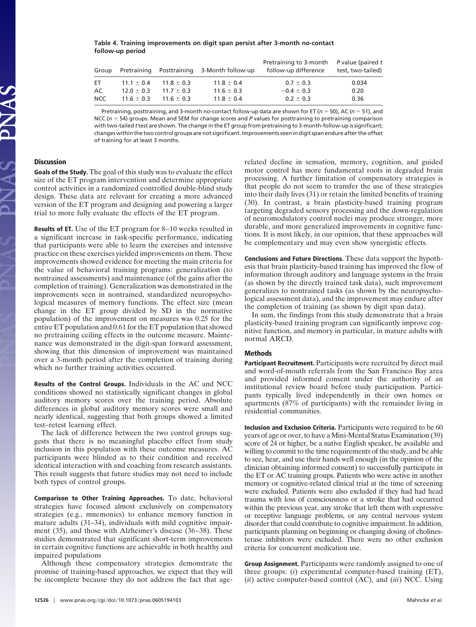## **Table 4. Training improvements on digit span persist after 3-month no-contact follow-up period**

| Group | Pretraining    |                | Posttraining 3-Month follow-up | Pretraining to 3-month $P$ value (paired t<br>follow-up difference | test, two-tailed) |
|-------|----------------|----------------|--------------------------------|--------------------------------------------------------------------|-------------------|
| ET.   | $11.1 \pm 0.4$ | $11.8 \pm 0.3$ | $11.8 \pm 0.4$                 | $0.7 \pm 0.3$                                                      | 0.034             |
| AC.   | $12.0 \pm 0.3$ | $11.7 \pm 0.3$ | $11.6 \pm 0.3$                 | $-0.4 \pm 0.3$                                                     | 0.20              |
| NCC   | $11.6 \pm 0.3$ | $11.6 \pm 0.3$ | $11.8 \pm 0.4$                 | $0.2 \pm 0.3$                                                      | 0.36              |

Pretraining, posttraining, and 3-month no-contact follow-up data are shown for ET ( $n = 50$ ), AC ( $n = 51$ ), and NCC ( $n = 54$ ) groups. Mean and SEM for change scores and *P* values for posttraining to pretraining comparison with two-tailed *t*test are shown. The change in the ET group from pretraining to 3-month-follow-up is significant; changes within the two control groups are not significant. Improvements seen in digit span endure after the offset of training for at least 3 months.

## **Discussion**

**Goals of the Study.** The goal of this study was to evaluate the effect size of the ET program intervention and determine appropriate control activities in a randomized controlled double-blind study design. These data are relevant for creating a more advanced version of the ET program and designing and powering a larger trial to more fully evaluate the effects of the ET program.

**Results of ET.** Use of the ET program for 8–10 weeks resulted in a significant increase in task-specific performance, indicating that participants were able to learn the exercises and intensive practice on these exercises yielded improvements on them. These improvements showed evidence for meeting the main criteria for the value of behavioral training programs: generalization (to nontrained assessments) and maintenance (of the gains after the completion of training). Generalization was demonstrated in the improvements seen in nontrained, standardized neuropsychological measures of memory functions. The effect size (mean change in the ET group divided by SD in the normative population) of the improvement on measures was 0.25 for the entire ET population and 0.61 for the ET population that showed no pretraining ceiling effects in the outcome measure. Maintenance was demonstrated in the digit-span forward assessment, showing that this dimension of improvement was maintained over a 3-month period after the completion of training during which no further training activities occurred.

**Results of the Control Groups.** Individuals in the AC and NCC conditions showed no statistically significant changes in global auditory memory scores over the training period. Absolute differences in global auditory memory scores were small and nearly identical, suggesting that both groups showed a limited test–retest learning effect.

The lack of difference between the two control groups suggests that there is no meaningful placebo effect from study inclusion in this population with these outcome measures. AC participants were blinded as to their condition and received identical interaction with and coaching from research assistants. This result suggests that future studies may not need to include both types of control groups.

**Comparison to Other Training Approaches.** To date, behavioral strategies have focused almost exclusively on compensatory strategies (e.g., mnemonics) to enhance memory function in mature adults (31–34), individuals with mild cognitive impairment (35), and those with Alzheimer's disease (36–38). These studies demonstrated that significant short-term improvements in certain cognitive functions are achievable in both healthy and impaired populations

Although these compensatory strategies demonstrate the promise of training-based approaches, we expect that they will be incomplete because they do not address the fact that agerelated decline in sensation, memory, cognition, and guided motor control has more fundamental roots in degraded brain processing. A further limitation of compensatory strategies is that people do not seem to transfer the use of these strategies into their daily lives (31) or retain the limited benefits of training (30). In contrast, a brain plasticity-based training program targeting degraded sensory processing and the down-regulation of neuromodulatory control nuclei may produce stronger, more durable, and more generalized improvements in cognitive functions. It is most likely, in our opinion, that these approaches will be complementary and may even show synergistic effects.

**Conclusions and Future Directions.** These data support the hypothesis that brain plasticity-based training has improved the flow of information through auditory and language systems in the brain (as shown by the directly trained task data), such improvement generalizes to nontrained tasks (as shown by the neuropsychological assessment data), and the improvement may endure after the completion of training (as shown by digit span data).

In sum, the findings from this study demonstrate that a brain plasticity-based training program can significantly improve cognitive function, and memory in particular, in mature adults with normal ARCD.

# **Methods**

**Participant Recruitment.** Participants were recruited by direct mail and word-of-mouth referrals from the San Francisco Bay area and provided informed consent under the authority of an institutional review board before study participation. Participants typically lived independently in their own homes or apartments (87% of participants) with the remainder living in residential communities.

**Inclusion and Exclusion Criteria.** Participants were required to be 60 years of age or over, to have a Mini-Mental Status Examination (39) score of 24 or higher, be a native English speaker, be available and willing to commit to the time requirements of the study, and be able to see, hear, and use their hands well enough (in the opinion of the clinician obtaining informed consent) to successfully participate in the ET or AC training groups. Patients who were active in another memory or cognitive-related clinical trial at the time of screening were excluded. Patients were also excluded if they had had head trauma with loss of consciousness or a stroke that had occurred within the previous year, any stroke that left them with expressive or receptive language problems, or any central nervous system disorder that could contribute to cognitive impairment. In addition, participants planning on beginning or changing dosing of cholinesterase inhibitors were excluded. There were no other exclusion criteria for concurrent medication use.

**Group Assignment.** Participants were randomly assigned to one of three groups: (*i*) experimental computer-based training (ET), (*ii*) active computer-based control (AC), and (*iii*) NCC. Using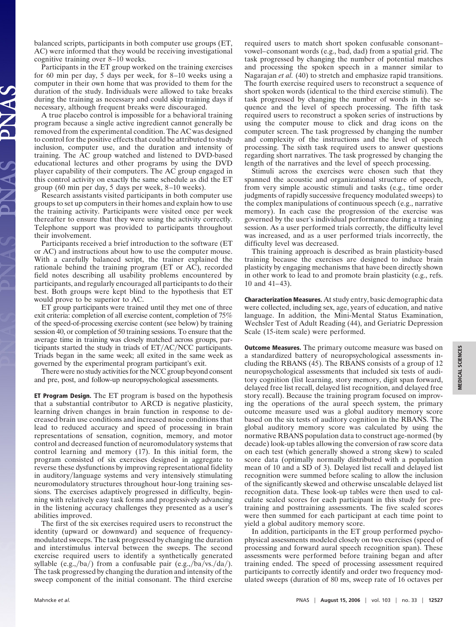balanced scripts, participants in both computer use groups (ET, AC) were informed that they would be receiving investigational cognitive training over 8–10 weeks.

Participants in the ET group worked on the training exercises for 60 min per day, 5 days per week, for 8–10 weeks using a computer in their own home that was provided to them for the duration of the study. Individuals were allowed to take breaks during the training as necessary and could skip training days if necessary, although frequent breaks were discouraged.

A true placebo control is impossible for a behavioral training program because a single active ingredient cannot generally be removed from the experimental condition. The AC was designed to control for the positive effects that could be attributed to study inclusion, computer use, and the duration and intensity of training. The AC group watched and listened to DVD-based educational lectures and other programs by using the DVD player capability of their computers. The AC group engaged in this control activity on exactly the same schedule as did the ET group (60 min per day, 5 days per week, 8–10 weeks).

Research assistants visited participants in both computer use groups to set up computers in their homes and explain how to use the training activity. Participants were visited once per week thereafter to ensure that they were using the activity correctly. Telephone support was provided to participants throughout their involvement.

Participants received a brief introduction to the software (ET or AC) and instructions about how to use the computer mouse. With a carefully balanced script, the trainer explained the rationale behind the training program (ET or AC), recorded field notes describing all usability problems encountered by participants, and regularly encouraged all participants to do their best. Both groups were kept blind to the hypothesis that ET would prove to be superior to AC.

ET group participants were trained until they met one of three exit criteria: completion of all exercise content, completion of 75% of the speed-of-processing exercise content (see below) by training session 40, or completion of 50 training sessions. To ensure that the average time in training was closely matched across groups, participants started the study in triads of  $ET/AC/NCC$  participants. Triads began in the same week; all exited in the same week as governed by the experimental program participant's exit.

There were no study activities for the NCC group beyond consent and pre, post, and follow-up neuropsychological assessments.

**ET Program Design.** The ET program is based on the hypothesis that a substantial contributor to ARCD is negative plasticity, learning driven changes in brain function in response to decreased brain use conditions and increased noise conditions that lead to reduced accuracy and speed of processing in brain representations of sensation, cognition, memory, and motor control and decreased function of neuromodulatory systems that control learning and memory (17). In this initial form, the program consisted of six exercises designed in aggregate to reverse these dysfunctions by improving representational fidelity in auditory/language systems and very intensively stimulating neuromodulatory structures throughout hour-long training sessions. The exercises adaptively progressed in difficulty, beginning with relatively easy task forms and progressively advancing in the listening accuracy challenges they presented as a user's abilities improved.

The first of the six exercises required users to reconstruct the identity (upward or downward) and sequence of frequencymodulated sweeps. The task progressed by changing the duration and interstimulus interval between the sweeps. The second exercise required users to identify a synthetically generated syllable  $(e.g.,/ba)$  from a confusable pair  $(e.g.,/ba/vs./da/)$ . The task progressed by changing the duration and intensity of the sweep component of the initial consonant. The third exercise required users to match short spoken confusable consonant– vowel–consonant words (e.g., bad, dad) from a spatial grid. The task progressed by changing the number of potential matches and processing the spoken speech in a manner similar to Nagarajan *et al.* (40) to stretch and emphasize rapid transitions. The fourth exercise required users to reconstruct a sequence of short spoken words (identical to the third exercise stimuli). The task progressed by changing the number of words in the sequence and the level of speech processing. The fifth task required users to reconstruct a spoken series of instructions by using the computer mouse to click and drag icons on the computer screen. The task progressed by changing the number and complexity of the instructions and the level of speech processing. The sixth task required users to answer questions regarding short narratives. The task progressed by changing the length of the narratives and the level of speech processing.

Stimuli across the exercises were chosen such that they spanned the acoustic and organizational structure of speech, from very simple acoustic stimuli and tasks (e.g., time order judgments of rapidly successive frequency modulated sweeps) to the complex manipulations of continuous speech (e.g., narrative memory). In each case the progression of the exercise was governed by the user's individual performance during a training session. As a user performed trials correctly, the difficulty level was increased, and as a user performed trials incorrectly, the difficulty level was decreased.

This training approach is described as brain plasticity-based training because the exercises are designed to induce brain plasticity by engaging mechanisms that have been directly shown in other work to lead to and promote brain plasticity (e.g., refs. 10 and 41–43).

**Characterization Measures.** At study entry, basic demographic data were collected, including sex, age, years of education, and native language. In addition, the Mini-Mental Status Examination, Wechsler Test of Adult Reading (44), and Geriatric Depression Scale (15-item scale) were performed.

**Outcome Measures.** The primary outcome measure was based on a standardized battery of neuropsychological assessments including the RBANS (45). The RBANS consists of a group of 12 neuropsychological assessments that included six tests of auditory cognition (list learning, story memory, digit span forward, delayed free list recall, delayed list recognition, and delayed free story recall). Because the training program focused on improving the operations of the aural speech system, the primary outcome measure used was a global auditory memory score based on the six tests of auditory cognition in the RBANS. The global auditory memory score was calculated by using the normative RBANS population data to construct age-normed (by decade) look-up tables allowing the conversion of raw score data on each test (which generally showed a strong skew) to scaled score data (optimally normally distributed with a population mean of 10 and a SD of 3). Delayed list recall and delayed list recognition were summed before scaling to allow the inclusion of the significantly skewed and otherwise unscalable delayed list recognition data. These look-up tables were then used to calculate scaled scores for each participant in this study for pretraining and posttraining assessments. The five scaled scores were then summed for each participant at each time point to yield a global auditory memory score.

In addition, participants in the ET group performed psychophysical assessments modeled closely on two exercises (speed of processing and forward aural speech recognition span). These assessments were performed before training began and after training ended. The speed of processing assessment required participants to correctly identify and order two frequency modulated sweeps (duration of 80 ms, sweep rate of 16 octaves per